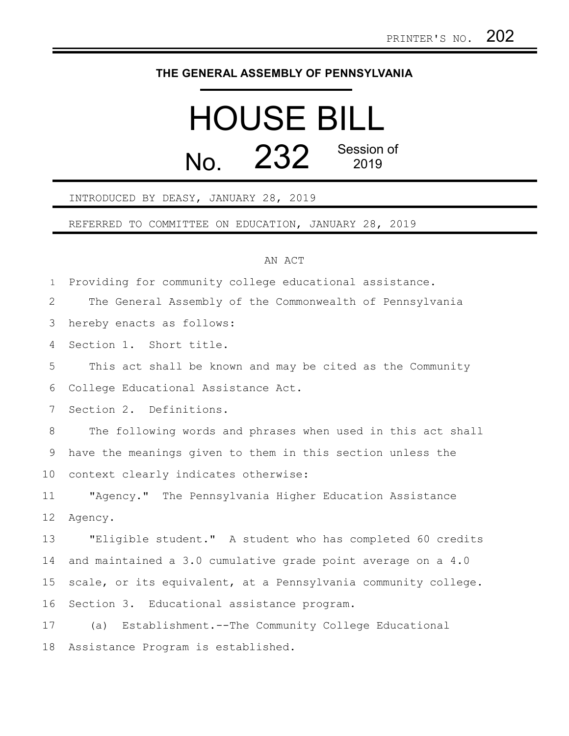## **THE GENERAL ASSEMBLY OF PENNSYLVANIA**

## HOUSE BILL  $N<sub>0</sub>$  232 Session of 2019

## INTRODUCED BY DEASY, JANUARY 28, 2019

REFERRED TO COMMITTEE ON EDUCATION, JANUARY 28, 2019

## AN ACT

Providing for community college educational assistance. 1

The General Assembly of the Commonwealth of Pennsylvania 2

hereby enacts as follows: 3

Section 1. Short title. 4

This act shall be known and may be cited as the Community College Educational Assistance Act. 5 6

Section 2. Definitions. 7

The following words and phrases when used in this act shall have the meanings given to them in this section unless the context clearly indicates otherwise: 8 9 10

"Agency." The Pennsylvania Higher Education Assistance Agency. 11 12

"Eligible student." A student who has completed 60 credits and maintained a 3.0 cumulative grade point average on a 4.0 scale, or its equivalent, at a Pennsylvania community college. Section 3. Educational assistance program. 13 14 15 16

(a) Establishment.--The Community College Educational Assistance Program is established. 17 18